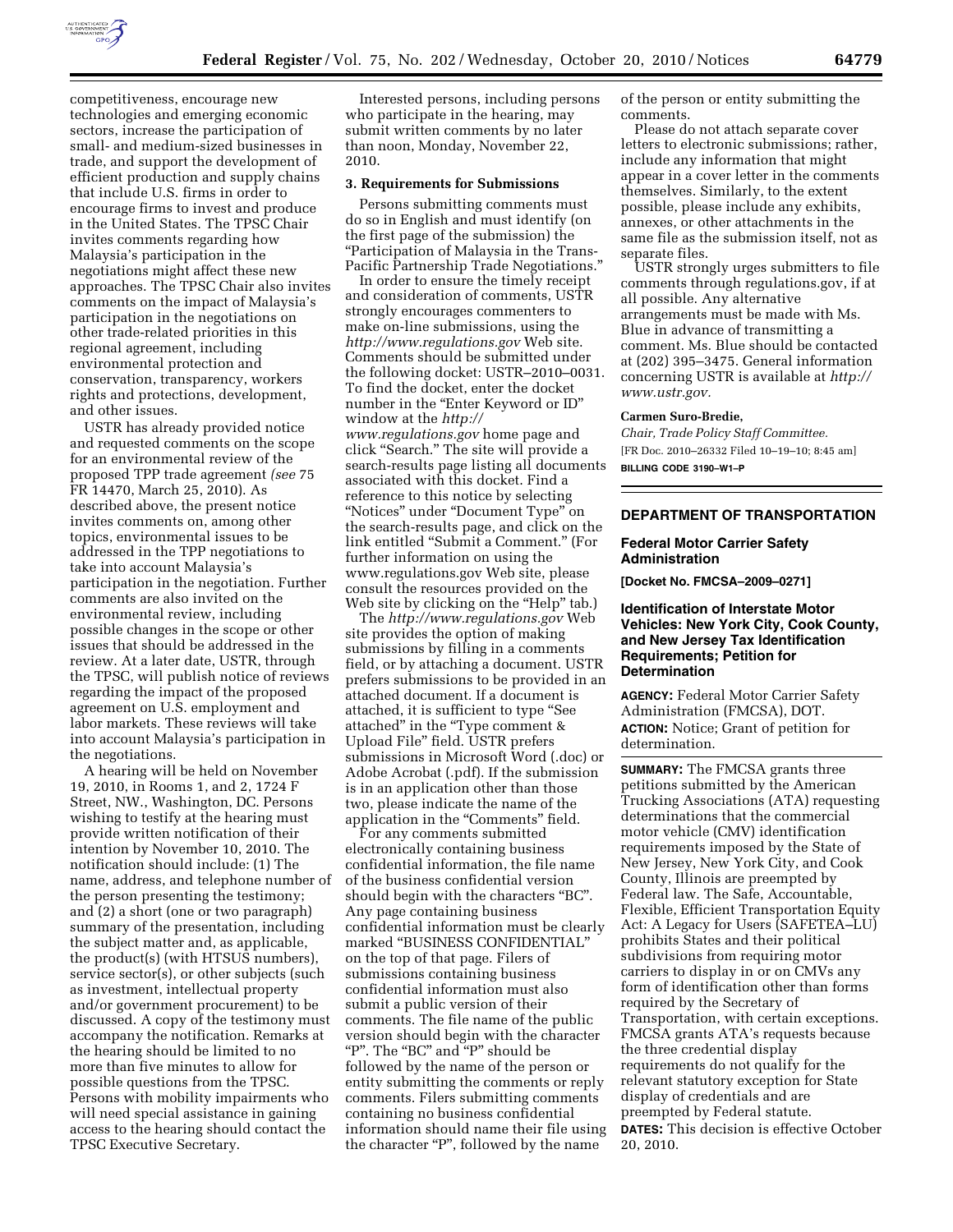

competitiveness, encourage new technologies and emerging economic sectors, increase the participation of small- and medium-sized businesses in trade, and support the development of efficient production and supply chains that include U.S. firms in order to encourage firms to invest and produce in the United States. The TPSC Chair invites comments regarding how Malaysia's participation in the negotiations might affect these new approaches. The TPSC Chair also invites comments on the impact of Malaysia's participation in the negotiations on other trade-related priorities in this regional agreement, including environmental protection and conservation, transparency, workers rights and protections, development, and other issues.

USTR has already provided notice and requested comments on the scope for an environmental review of the proposed TPP trade agreement *(see* 75 FR 14470, March 25, 2010). As described above, the present notice invites comments on, among other topics, environmental issues to be addressed in the TPP negotiations to take into account Malaysia's participation in the negotiation. Further comments are also invited on the environmental review, including possible changes in the scope or other issues that should be addressed in the review. At a later date, USTR, through the TPSC, will publish notice of reviews regarding the impact of the proposed agreement on U.S. employment and labor markets. These reviews will take into account Malaysia's participation in the negotiations.

A hearing will be held on November 19, 2010, in Rooms 1, and 2, 1724 F Street, NW., Washington, DC. Persons wishing to testify at the hearing must provide written notification of their intention by November 10, 2010. The notification should include: (1) The name, address, and telephone number of the person presenting the testimony; and (2) a short (one or two paragraph) summary of the presentation, including the subject matter and, as applicable, the product(s) (with HTSUS numbers), service sector(s), or other subjects (such as investment, intellectual property and/or government procurement) to be discussed. A copy of the testimony must accompany the notification. Remarks at the hearing should be limited to no more than five minutes to allow for possible questions from the TPSC. Persons with mobility impairments who will need special assistance in gaining access to the hearing should contact the TPSC Executive Secretary.

Interested persons, including persons who participate in the hearing, may submit written comments by no later than noon, Monday, November 22, 2010.

### **3. Requirements for Submissions**

Persons submitting comments must do so in English and must identify (on the first page of the submission) the ''Participation of Malaysia in the Trans-Pacific Partnership Trade Negotiations.''

In order to ensure the timely receipt and consideration of comments, USTR strongly encourages commenters to make on-line submissions, using the *<http://www.regulations.gov>* Web site. Comments should be submitted under the following docket: USTR–2010–0031. To find the docket, enter the docket number in the "Enter Keyword or ID" window at the *[http://](http://www.regulations.gov) [www.regulations.gov](http://www.regulations.gov)* home page and click "Search." The site will provide a search-results page listing all documents associated with this docket. Find a reference to this notice by selecting ''Notices'' under ''Document Type'' on the search-results page, and click on the link entitled ''Submit a Comment.'' (For further information on using the [www.regulations.gov](http://www.regulations.gov) Web site, please consult the resources provided on the Web site by clicking on the "Help" tab.)

The *<http://www.regulations.gov>*Web site provides the option of making submissions by filling in a comments field, or by attaching a document. USTR prefers submissions to be provided in an attached document. If a document is attached, it is sufficient to type ''See attached'' in the ''Type comment & Upload File'' field. USTR prefers submissions in Microsoft Word (.doc) or Adobe Acrobat (.pdf). If the submission is in an application other than those two, please indicate the name of the application in the "Comments" field.

For any comments submitted electronically containing business confidential information, the file name of the business confidential version should begin with the characters "BC". Any page containing business confidential information must be clearly marked ''BUSINESS CONFIDENTIAL'' on the top of that page. Filers of submissions containing business confidential information must also submit a public version of their comments. The file name of the public version should begin with the character "P". The "BC" and "P" should be followed by the name of the person or entity submitting the comments or reply comments. Filers submitting comments containing no business confidential information should name their file using the character "P", followed by the name

of the person or entity submitting the comments.

Please do not attach separate cover letters to electronic submissions; rather, include any information that might appear in a cover letter in the comments themselves. Similarly, to the extent possible, please include any exhibits, annexes, or other attachments in the same file as the submission itself, not as separate files.

USTR strongly urges submitters to file comments through regulations.gov, if at all possible. Any alternative arrangements must be made with Ms. Blue in advance of transmitting a comment. Ms. Blue should be contacted at (202) 395–3475. General information concerning USTR is available at *[http://](http://www.ustr.gov)  [www.ustr.gov.](http://www.ustr.gov)* 

#### **Carmen Suro-Bredie,**

*Chair, Trade Policy Staff Committee.*  [FR Doc. 2010–26332 Filed 10–19–10; 8:45 am] **BILLING CODE 3190–W1–P** 

## **DEPARTMENT OF TRANSPORTATION**

### **Federal Motor Carrier Safety Administration**

**[Docket No. FMCSA–2009–0271]** 

# **Identification of Interstate Motor Vehicles: New York City, Cook County, and New Jersey Tax Identification Requirements; Petition for Determination**

**AGENCY:** Federal Motor Carrier Safety Administration (FMCSA), DOT. **ACTION:** Notice; Grant of petition for determination.

**SUMMARY:** The FMCSA grants three petitions submitted by the American Trucking Associations (ATA) requesting determinations that the commercial motor vehicle (CMV) identification requirements imposed by the State of New Jersey, New York City, and Cook County, Illinois are preempted by Federal law. The Safe, Accountable, Flexible, Efficient Transportation Equity Act: A Legacy for Users (SAFETEA–LU) prohibits States and their political subdivisions from requiring motor carriers to display in or on CMVs any form of identification other than forms required by the Secretary of Transportation, with certain exceptions. FMCSA grants ATA's requests because the three credential display requirements do not qualify for the relevant statutory exception for State display of credentials and are preempted by Federal statute. **DATES:** This decision is effective October 20, 2010.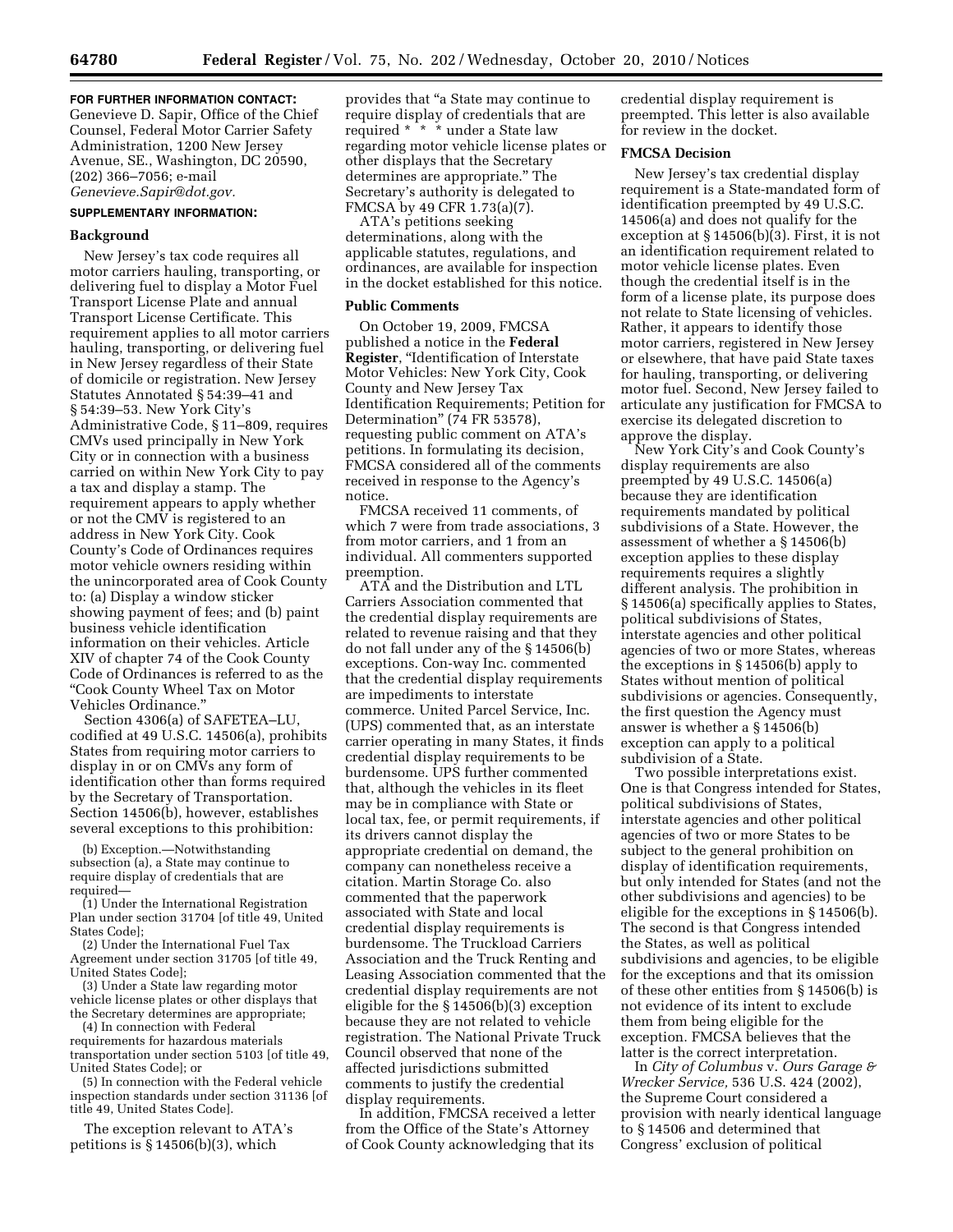# **FOR FURTHER INFORMATION CONTACT:**

Genevieve D. Sapir, Office of the Chief Counsel, Federal Motor Carrier Safety Administration, 1200 New Jersey Avenue, SE., Washington, DC 20590, (202) 366–7056; e-mail *[Genevieve.Sapir@dot.gov.](mailto:Genevieve.Sapir@dot.gov)* 

## **SUPPLEMENTARY INFORMATION:**

### **Background**

New Jersey's tax code requires all motor carriers hauling, transporting, or delivering fuel to display a Motor Fuel Transport License Plate and annual Transport License Certificate. This requirement applies to all motor carriers hauling, transporting, or delivering fuel in New Jersey regardless of their State of domicile or registration. New Jersey Statutes Annotated § 54:39–41 and § 54:39–53. New York City's Administrative Code, § 11–809, requires CMVs used principally in New York City or in connection with a business carried on within New York City to pay a tax and display a stamp. The requirement appears to apply whether or not the CMV is registered to an address in New York City. Cook County's Code of Ordinances requires motor vehicle owners residing within the unincorporated area of Cook County to: (a) Display a window sticker showing payment of fees; and (b) paint business vehicle identification information on their vehicles. Article XIV of chapter 74 of the Cook County Code of Ordinances is referred to as the ''Cook County Wheel Tax on Motor Vehicles Ordinance.''

Section 4306(a) of SAFETEA–LU, codified at 49 U.S.C. 14506(a), prohibits States from requiring motor carriers to display in or on CMVs any form of identification other than forms required by the Secretary of Transportation. Section 14506(b), however, establishes several exceptions to this prohibition:

(b) Exception.—Notwithstanding subsection (a), a State may continue to require display of credentials that are required—

(1) Under the International Registration Plan under section 31704 [of title 49, United States Code];

(2) Under the International Fuel Tax Agreement under section 31705 [of title 49, United States Code];

(3) Under a State law regarding motor vehicle license plates or other displays that the Secretary determines are appropriate;

(4) In connection with Federal requirements for hazardous materials

transportation under section 5103 [of title 49, United States Code]; or

(5) In connection with the Federal vehicle inspection standards under section 31136 [of title 49, United States Code].

The exception relevant to ATA's petitions is § 14506(b)(3), which

provides that ''a State may continue to require display of credentials that are required \* \* \* under a State law regarding motor vehicle license plates or other displays that the Secretary determines are appropriate.'' The Secretary's authority is delegated to FMCSA by 49 CFR 1.73(a)(7).

ATA's petitions seeking determinations, along with the applicable statutes, regulations, and ordinances, are available for inspection in the docket established for this notice.

### **Public Comments**

On October 19, 2009, FMCSA published a notice in the **Federal Register**, ''Identification of Interstate Motor Vehicles: New York City, Cook County and New Jersey Tax Identification Requirements; Petition for Determination'' (74 FR 53578), requesting public comment on ATA's petitions. In formulating its decision, FMCSA considered all of the comments received in response to the Agency's notice.

FMCSA received 11 comments, of which 7 were from trade associations, 3 from motor carriers, and 1 from an individual. All commenters supported preemption.

ATA and the Distribution and LTL Carriers Association commented that the credential display requirements are related to revenue raising and that they do not fall under any of the § 14506(b) exceptions. Con-way Inc. commented that the credential display requirements are impediments to interstate commerce. United Parcel Service, Inc. (UPS) commented that, as an interstate carrier operating in many States, it finds credential display requirements to be burdensome. UPS further commented that, although the vehicles in its fleet may be in compliance with State or local tax, fee, or permit requirements, if its drivers cannot display the appropriate credential on demand, the company can nonetheless receive a citation. Martin Storage Co. also commented that the paperwork associated with State and local credential display requirements is burdensome. The Truckload Carriers Association and the Truck Renting and Leasing Association commented that the credential display requirements are not eligible for the § 14506(b)(3) exception because they are not related to vehicle registration. The National Private Truck Council observed that none of the affected jurisdictions submitted comments to justify the credential display requirements.

In addition, FMCSA received a letter from the Office of the State's Attorney of Cook County acknowledging that its

credential display requirement is preempted. This letter is also available for review in the docket.

# **FMCSA Decision**

New Jersey's tax credential display requirement is a State-mandated form of identification preempted by 49 U.S.C. 14506(a) and does not qualify for the exception at § 14506(b)(3). First, it is not an identification requirement related to motor vehicle license plates. Even though the credential itself is in the form of a license plate, its purpose does not relate to State licensing of vehicles. Rather, it appears to identify those motor carriers, registered in New Jersey or elsewhere, that have paid State taxes for hauling, transporting, or delivering motor fuel. Second, New Jersey failed to articulate any justification for FMCSA to exercise its delegated discretion to approve the display.

New York City's and Cook County's display requirements are also preempted by 49 U.S.C. 14506(a) because they are identification requirements mandated by political subdivisions of a State. However, the assessment of whether a § 14506(b) exception applies to these display requirements requires a slightly different analysis. The prohibition in § 14506(a) specifically applies to States, political subdivisions of States, interstate agencies and other political agencies of two or more States, whereas the exceptions in § 14506(b) apply to States without mention of political subdivisions or agencies. Consequently, the first question the Agency must answer is whether a § 14506(b) exception can apply to a political subdivision of a State.

Two possible interpretations exist. One is that Congress intended for States, political subdivisions of States, interstate agencies and other political agencies of two or more States to be subject to the general prohibition on display of identification requirements, but only intended for States (and not the other subdivisions and agencies) to be eligible for the exceptions in § 14506(b). The second is that Congress intended the States, as well as political subdivisions and agencies, to be eligible for the exceptions and that its omission of these other entities from § 14506(b) is not evidence of its intent to exclude them from being eligible for the exception. FMCSA believes that the latter is the correct interpretation.

In *City of Columbus* v. *Ours Garage & Wrecker Service,* 536 U.S. 424 (2002), the Supreme Court considered a provision with nearly identical language to § 14506 and determined that Congress' exclusion of political